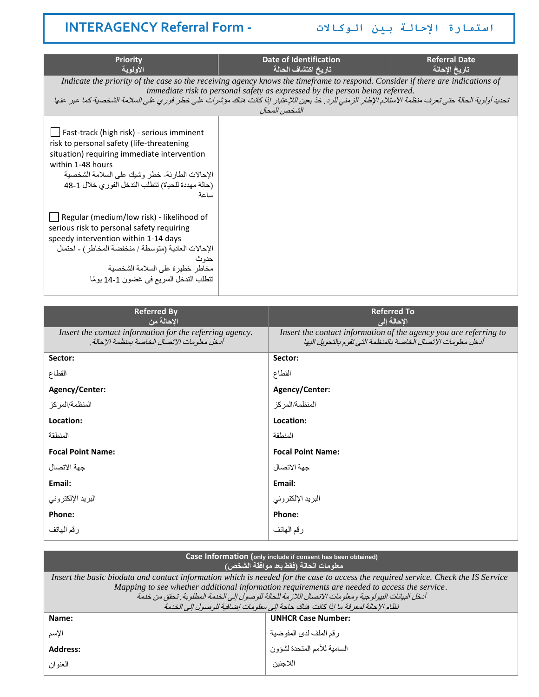# **استمارة اإلحالة بين الوكاالت - Form Referral INTERAGENCY**

| <b>Priority</b><br>الأولوية                                                                                                                                                                                                                                                         | Date of Identification<br>تاريخ اكتشاف الحالة                                                                                                                                                                                                                                                                                                                                          | <b>Referral Date</b><br>تاريخ الإحالة |
|-------------------------------------------------------------------------------------------------------------------------------------------------------------------------------------------------------------------------------------------------------------------------------------|----------------------------------------------------------------------------------------------------------------------------------------------------------------------------------------------------------------------------------------------------------------------------------------------------------------------------------------------------------------------------------------|---------------------------------------|
|                                                                                                                                                                                                                                                                                     | Indicate the priority of the case so the receiving agency knows the timeframe to respond. Consider if there are indications of<br>immediate risk to personal safety as expressed by the person being referred.<br>تحديد أولوية الحالة حتى تعرف منظمة الاستلام الإطار الزمني للرد. خذ بعين اللإعتبار إذا كانت هناك مؤشرات على خطر فوري على السلامة الشخصية كما عير عنها<br>الشخص المحال |                                       |
| Fast-track (high risk) - serious imminent<br>risk to personal safety (life-threatening<br>situation) requiring immediate intervention<br>within 1-48 hours<br>الإحالات الطار ئة- خطر  وشبك على السلامة الشخصبة<br>(حالة مهددة للحياة) نتطلب التدخل الفوري خلال 1-48<br>ساعة         |                                                                                                                                                                                                                                                                                                                                                                                        |                                       |
| $\Box$ Regular (medium/low risk) - likelihood of<br>serious risk to personal safety requiring<br>speedy intervention within 1-14 days<br>الإحالات العادية (متوسطة / منخفضة المخاطر ) - احتمال<br>حدو ث<br>مخاطر خطيرة على السلامة الشخصية<br>تتطلب التدخل السريع في غضون 1-14 يومًا |                                                                                                                                                                                                                                                                                                                                                                                        |                                       |

| <b>Referred By</b><br>الاحالة من                                                                          | <b>Referred To</b><br>الإحالة إلى                                                                                                  |
|-----------------------------------------------------------------------------------------------------------|------------------------------------------------------------------------------------------------------------------------------------|
| Insert the contact information for the referring agency.<br>أدخل معلو مات الاتصال الخاصة بمنظمة الإحالة . | Insert the contact information of the agency you are referring to<br>أدخل معلومات الاتصال الخاصة بالمنظمة التي تقوم بالتحويل اليها |
| Sector:                                                                                                   | Sector:                                                                                                                            |
| القطاع                                                                                                    | القطاع                                                                                                                             |
| Agency/Center:                                                                                            | Agency/Center:                                                                                                                     |
| المنظمة/المركز                                                                                            | المنظمة/المركز                                                                                                                     |
| Location:                                                                                                 | Location:                                                                                                                          |
| المنطقة                                                                                                   | المنطقة                                                                                                                            |
| <b>Focal Point Name:</b>                                                                                  | <b>Focal Point Name:</b>                                                                                                           |
| جهة الاتصال                                                                                               | جهة الاتصال                                                                                                                        |
| Email:                                                                                                    | Email:                                                                                                                             |
| البريد الإلكتروني                                                                                         | البريد الإلكتروني                                                                                                                  |
| Phone:                                                                                                    | Phone:                                                                                                                             |
| رقم الهاتف                                                                                                | رقم المهاتف                                                                                                                        |

| Case Information (only include if consent has been obtained)<br>معلومات الحالة (فقط بعد موافقة الشخص)                                                                                                                                                                                                                                         |                                     |  |
|-----------------------------------------------------------------------------------------------------------------------------------------------------------------------------------------------------------------------------------------------------------------------------------------------------------------------------------------------|-------------------------------------|--|
| Insert the basic biodata and contact information which is needed for the case to access the required service. Check the IS Service<br>Mapping to see whether additional information requirements are needed to access the service.<br>أدخل البيانات البيولو جية و معلو مات الإتصال اللاز مة للحالة للو صول إلى الخدمة المطلوبة . تحقق من خدمة |                                     |  |
| نظام الإحالة لمعر فة ما إذا كانت هناك حاجة إلى معلومات إضافية للوصول إلى الخدمة                                                                                                                                                                                                                                                               |                                     |  |
| Name:                                                                                                                                                                                                                                                                                                                                         | <b>UNHCR Case Number:</b>           |  |
| الأسم                                                                                                                                                                                                                                                                                                                                         | رقم الملف لدى المفوضية              |  |
| <b>Address:</b>                                                                                                                                                                                                                                                                                                                               | ر ۱۰<br>السامية للأمم المتحدة لشؤون |  |
| العنو ان                                                                                                                                                                                                                                                                                                                                      | اللاحئين                            |  |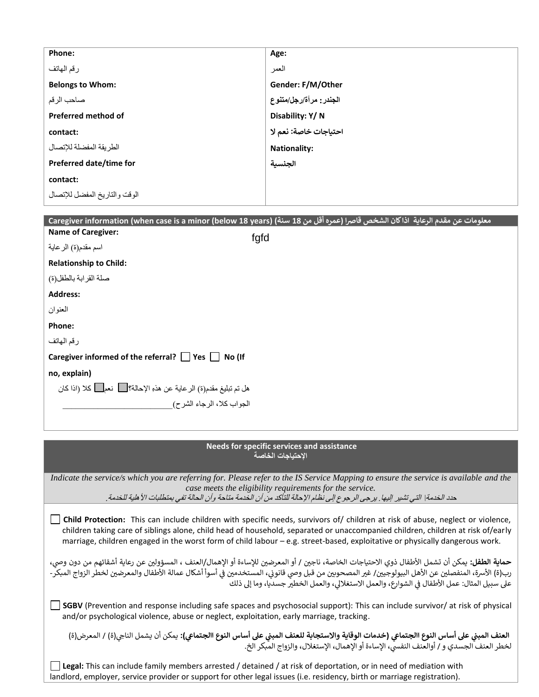| Age:                    |
|-------------------------|
| العمر                   |
| Gender: F/M/Other       |
| الجندر : مرأة/رجل/متنوع |
| Disability: Y/N         |
| احتياجات خاصة: نعم لا   |
| <b>Nationality:</b>     |
| الجنسية                 |
|                         |
|                         |
|                         |

|                                                                     | معلومات عن مقدم الرعاية  اذا كان الشخص قاصرا (عمره أقل من 18 سنة) (Caregiver information (when case is a minor (below 18 years |
|---------------------------------------------------------------------|--------------------------------------------------------------------------------------------------------------------------------|
| <b>Name of Caregiver:</b>                                           | fgfd                                                                                                                           |
| اسم مقدم(ة) الر عاية                                                |                                                                                                                                |
| <b>Relationship to Child:</b>                                       |                                                                                                                                |
| صلة القرابة بالطفل(ة)                                               |                                                                                                                                |
| <b>Address:</b>                                                     |                                                                                                                                |
| العنوان                                                             |                                                                                                                                |
| Phone:                                                              |                                                                                                                                |
| رقم المهاتف                                                         |                                                                                                                                |
| Caregiver informed of the referral? $\Box$ Yes $\Box$ No (If        |                                                                                                                                |
| no, explain)                                                        |                                                                                                                                |
| هل تم تبليغ مقدم(ة) الرعاية عن هذهِ الإحالة؟ [ ] نعم [ كلا (اذا كان |                                                                                                                                |
| الجواب كلا، الرجاء الشرح)                                           |                                                                                                                                |
|                                                                     |                                                                                                                                |

### **Needs for specific services and assistance اإلحتياجات الخاصة**

*Indicate the service/s which you are referring for. Please refer to the IS Service Mapping to ensure the service is available and the case meets the eligibility requirements for the service.* حدد الخدمة| التي تشير اليها. يرجى الرجوع إلى نظام الإحالة للتأكد من أن الخدمة متاحة وأن الحالة تفي بمتطلبات الأهلية للخدمة.

**Child Protection:** This can include children with specific needs, survivors of/ children at risk of abuse, neglect or violence, children taking care of siblings alone, child head of household, separated or unaccompanied children, children at risk of/early marriage, children engaged in the worst form of child labour – e.g. street-based, exploitative or physically dangerous work.

حماية الطفل: يمكن أن تشمل الأطفال ذوي الاحتياجات الخاصة، ناجين / أو المعرضين للإساءة أو الإهمال/العنف ، المسؤولين عن رعاية أشقائهم من دون وصي، .. .<br>رب(ة) الأسرة، المنفصلين عن الأهل البيولوجيين/ غير المصحوبين من قبل وصي قانوني، المستخدمين في أسوأ أشكال عمالة الأطفال والمعرضين لخطر الزواج المبكر-**.** į Ş **.** . Ĵ على سبيل المثال: عمل الأطفال في الشوارع، والعمل الاستغلالي، والعمل الخطير جسديا، وما إلى ذلك į ś

**SGBV** (Prevention and response including safe spaces and psychosocial support): This can include survivor/ at risk of physical and/or psychological violence, abuse or neglect, exploitation, early marriage, tracking .

العنف المبني على أساس النوع االجتماعي <mark>(خدمات الوقاية والاستجابة للعنف المبني على أساس النوع االجتماعي): يمكن أن يشمل الناجي(ة) / المعرض(ة)</mark> ś لخطر العنف الجسدي و / أوالعنف النفسي، الإساءة أو الإهمال، الإستغلال، والزواج المبكر الخ. Ş

**Legal:** This can include family members arrested / detained / at risk of deportation, or in need of mediation with landlord, employer, service provider or support for other legal issues (i.e. residency, birth or marriage registration).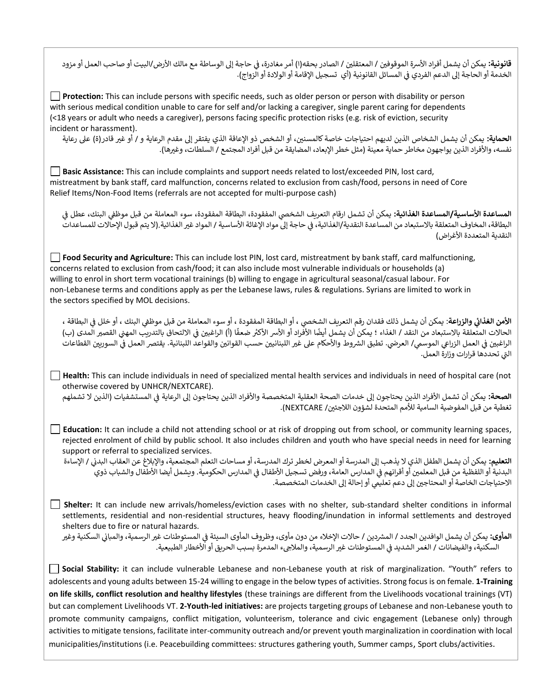**قانونية:** يمكن أن يشمل أفراد الأسرة الموقوفين / المعتقلين / الصادر بحقه(ا) أمر مغادرة، في حاجة إلى الوساطة مع مالك الأرض/البيت أو صاحب العمل أو مزود Ĵ ֦֧֢֦֧֦֧֦֧֦֧֦֧֚֚֡֜֜֜֜֜ الخدمة أو الحاجة إلى الدعم الفردي في المسائل القانونية (أي تسجيل الإقامة أو الولادة أو الزواج). Ĵ į

**Protection:** This can include persons with specific needs, such as older person or person with disability or person with serious medical condition unable to care for self and/or lacking a caregiver, single parent caring for dependents (<18 years or adult who needs a caregiver), persons facing specific protection risks (e.g. risk of eviction, security incident or harassment).

ا**لحماية:** يمكن أن يشمل الشخاص الذين لديهم احتياجات خاصة كالمسنين، أو الشخص ذو الإعاقة الذي يفتقر إلى مقدم الرعاية و / أو غير قادر(ة) على رعاية نفسه، والأفراد الذين يواجهون مخاطر حماية معينة (مثل خطر الإبعاد، المضايقة من قبل أفراد المجتمع / السلطات، وغيرها).

**Basic Assistance:** This can include complaints and support needs related to lost/exceeded PIN, lost card, mistreatment by bank staff, card malfunction, concerns related to exclusion from cash/food, persons in need of Core Relief Items/Non-Food Items (referrals are not accepted for multi-purpose cash)

المساعدة الأساسية/المساعدة الغذائية: يمكن أن تشمل ارقام التعريف الشخصى المفقودة، البطاقة المفقودة، سوء المعاملة من قبل موظفى البنك، عطل فى Ş Ĵ ֦֧֢֦֧֦֧֦֧֚֚֡֜֜֜ , البطاقة، المخاوف المتعلقة بالاستبعاد من المساعدة النقدية/الغذائية، في حاجة إلى مواد الإغاثة الأساسية / المواد غير الغذائية (لا يتم قبول الإحالات للمساعدات ì ֦֧֦֧֦֧֦֧֦֧֦֧֦֦֚֚֚֚֡֜֜֜֜֜֜֜֝֜֜֜֞ النقدية المتعددة الأغراض)

**Food Security and Agriculture:** This can include lost PIN, lost card, mistreatment by bank staff, card malfunctioning, concerns related to exclusion from cash/food; it can also include most vulnerable individuals or households (a) willing to enrol in short term vocational trainings (b) willing to engage in agricultural seasonal/casual labour. For non-Lebanese terms and conditions apply as per the Lebanese laws, rules & regulations. Syrians are limited to work in the sectors specified by MOL decisions.

ا**لأمن الغذائي والزراعة**: يمكن أن يشمل ذلك فقدان رقم التعريف الشخصي ، أو البطاقة المفقودة ، أو سوء المعاملة من قبل موظفي البنك ، أو خلل في البطاقة ،<br>. **ي**  Ĵ ֦֧֢֦֧֦֧֦֧֚֚֡֜֜ ; . فمن الحدي والرزاعا ، يسل التقد / الغذاء ؛ يمكن أن يشمل أيضًا الأفراد أو الأسر الأكثر ضعفًا (أ) الراغبين في الالتحاق بالتدريب المهني القصير المدى (ب)<br>الحالات المتعلقة بالاستبعاد من النقد / الغذاء ؛ يمكن أن يشمل أيضًا الأ Ĵ ֦֧֦֧֦֧֦֧֦֧֚֚֡֜֜֜ الراغبين في العمل الزراعي الموسمي/ العرضي. تطبق الشروط والأحكام على عير اللبنانيين حسب القوانين والقواعد اللبنانية. يقتصر العمل في السوريين القطاعات ś ֦֧֢֦֧֦֧֦֧֚֚֡֜֜ Ş ֪֪֚֡֓֓֡֓֓֡֬֓֓֡֬֓֓֓֡֬֓֓֡֬֝֓֡֬֝֓֓֡֬ التي تحددها قرارات وزارة العمل.

**Health:** This can include individuals in need of specialized mental health services and individuals in need of hospital care (not otherwise covered by UNHCR/NEXTCARE).

ا**لصحة:** يمكن أن تشمل الأفراد الذين يحتاجون إلى خدمات الصحة العقلية المتخصصة والأفراد الذين يحتاجون إلى الرعاية فى المستشفيات (الذين لا تشملهم Ĵ ֦֧֢֦֧֦֧֦֧֚֚֡֜֜֜ تغطية من قبل المفوضية السامية للأمم المتحدة لشؤون اللاجئين/ NEXTCARE).

**Education:** It can include a child not attending school or at risk of dropping out from school, or community learning spaces, rejected enrolment of child by public school. It also includes children and youth who have special needs in need for learning support or referral to specialized services.

ا**لتعليم:** يمكن أن يشمل الطفل الذي لا يذهب إلى المدرسة أو المعرض لخطر ترك المدرسة، أو مساحات التعلم المجتمعية، والإبلاغ عن العقاب البدنى / الإساءة į البدنية أو اللفظية من قبل المعلمين أو أقرانهم في المدارس العامة، ورفض تسجيل الأطفال في المدارس الحكومية. ويشمل أيضا الأطفال والشباب ذوي Ĵ ֦֧֢֦֧֦֧֦֧֦֧֦֧֚֚֡֜֜֜֜֜ Ĵ ֦֧֢֦֧֦֧֦֧֚֚֡֜֜֜ الاحتياجات الخاصة أو المحتاجين إلى دعم تعليمي أو إحالة إلى الخدمات المتخصصة. ;

**Shelter:** It can include new arrivals/homeless/eviction cases with no shelter, sub-standard shelter conditions in informal settlements, residential and non-residential structures, heavy flooding/inundation in informal settlements and destroyed shelters due to fire or natural hazards.

ا**لمأوى:** يمكن أن يشمل الوافدين الجدد / المشردين / حالات الإخلاء من دون مأوى، وظروف المأوى السيئة في المستوطنات غير الرسمية، والمباني السكنية وغير Ĵ į السكنية، والفيضانات / الغمر الشديد في المستوطنات غير الرسمية، والملاجىء المدمرة بسبب الحريق أو الأخطار الطبيعية. Ş ֦֧֦֧֦֧֦֧֦֧֦֧֦֧֦֧֦֧ׅׅ֚֚֡֜֜֜֜֜֜֜֜֜֜֞֝֜֜֞֝֜

**Social Stability:** it can include vulnerable Lebanese and non-Lebanese youth at risk of marginalization. "Youth" refers to adolescents and young adults between 15-24 willing to engage in the below types of activities. Strong focus is on female. **1-Training on life skills, conflict resolution and healthy lifestyles** (these trainings are different from the Livelihoods vocational trainings (VT) but can complement Livelihoods VT. **2-Youth-led initiatives:** are projects targeting groups of Lebanese and non-Lebanese youth to promote community campaigns, conflict mitigation, volunteerism, tolerance and civic engagement (Lebanese only) through activities to mitigate tensions, facilitate inter-community outreach and/or prevent youth marginalization in coordination with local municipalities/institutions (i.e. Peacebuilding committees: structures gathering youth, Summer camps, Sport clubs/activities.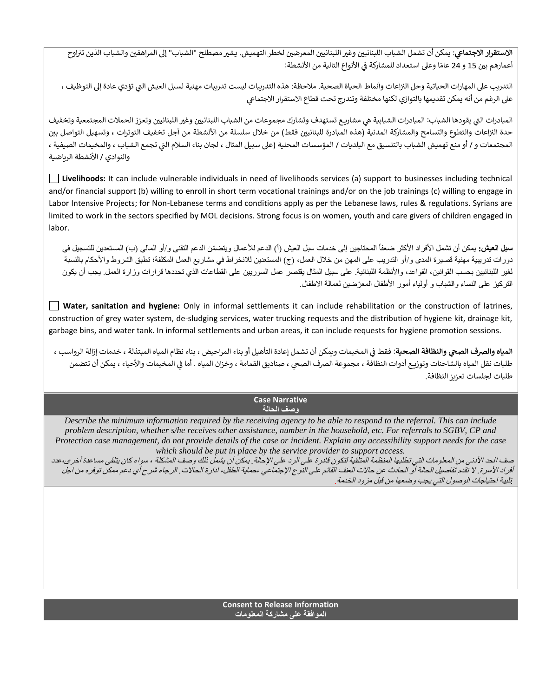<mark>الاستقرار الاجتماعي</mark>: يمكن أن تشمل الشباب اللبنانيين وغير اللبنانيين المعرضين لخطر التهميش. يشير مصطلح "الشباب" إلى المراهقين والشباب الذين تتراوح **ي** .<br>י , أعمارهم بين 15 و 24 عامًا وعلى استعداد للمشاركة في الأنواع التالية من الأنشطة: į

التدريب على المهارات الحياتية وحل النزاعات وأنماط الحياة الصحية. ملاحظة: هذه التدريبات ليست تدريبات مهنية لسبل العيش التي تؤدي عادة إلى التوظيف ، عىل الرغم من أنه يمكن تقديمها بالتوازي لكنها مختلفة وتندرج تحت قطاع االستقرار االجتماع

المبادرات التي يقودها الشباب: المبادرات الشبابية هي مشاريع تستهدف وتشارك مجموعات من الشباب اللبنانيين وغير اللبنانيين وتعزز الحملات المجتمعية وتخفيف : حدة النزاعات والتطوع والتسامح والمشاركة المدنية (هذه المبادرة للبنانيين فقط) من خلال سلسلة من الأنشطة من أجل تخفيف التوترات ، وتسهيل التواصل بين  $\vdots$ المجتمعات و / أو منع تهميش الشباب بالتنسيق مع البلديات / المؤسسات المحلية (على سبيل المثال ، لجان بناء السلام التي تجمع الشباب ، والمخيمات الصيفية ، والنوادي / الأنشطة الرباضية

**Livelihoods:** It can include vulnerable individuals in need of livelihoods services (a) support to businesses including technical and/or financial support (b) willing to enroll in short term vocational trainings and/or on the job trainings (c) willing to engage in Labor Intensive Projects; for Non-Lebanese terms and conditions apply as per the Lebanese laws, rules & regulations. Syrians are limited to work in the sectors specified by MOL decisions. Strong focus is on women, youth and care givers of children engaged in labor.

**سبل العيش:** يمكن أن تشمل الأفراد الأكثر ضعفاً المحتاجين إلى خدمات سبل العيش (أ) الدعم للأعمال ويتضمّن الدعم التقني و/أو المالي (ب) المستعدين للتسجيل في دورات تدريبية مهنية قصيرة المدى و/أو التدريب على المهن من خلال العمل، (ج) المستعدين للانخراط في مشاريع العمل المكثفة؛ تطبق الشروط والأحكام بالنسبة لغير اللبنانيين بحسب القوانين، القواعد، واألنظمة اللبنانية. على سبيل المثال يقتصر عمل السوريين على القطاعات الذي تحددها قرارات وزارة العمل. يجب أن يكون التركيز على النساء والشباب و أولياء أمور الأطفال المعرّضين لعمالة الاطفال.

**Water, sanitation and hygiene:** Only in informal settlements it can include rehabilitation or the construction of latrines, construction of grey water system, de-sludging services, water trucking requests and the distribution of hygiene kit, drainage kit, garbage bins, and water tank. In informal settlements and urban areas, it can include requests for hygiene promotion sessions.

**المياه والصرف الصحي والنظافة الصحية**: فقط فى المخيمات ويمكن أن تشمل إعادة التأهيل أو بناء المراحيض ، بناء نظام المياه المبتذلة ، خدمات إزالة الرواسب ، **ي** Ş ֦֧֦֧֦֧֦֧֦֧֦֧֚֚֡֜֜֜֜֜֜֜֜ طلبات نقل المياه بالشاحنات وتوزيـع أدوات النظافة ، مجموعة الصرف الصحي ، صناديق القمامة ، وخزان المياه . أما في المخيمات والأحياء ، يمكن أن تتضمن Ş l طلبات لجلسات تعزيز النظافة.

#### **Case Narrative وصف الحالة**

*Describe the minimum information required by the receiving agency to be able to respond to the referral. This can include problem description, whether s/he receives other assistance, number in the household, etc. For referrals to SGBV, CP and Protection case management, do not provide details of the case or incident. Explain any accessibility support needs for the case which should be put in place by the service provider to support access.*

صف الحد الأدنى من المعلومات التي تطلبها المنظمة المتلقية لتكون قادرة على الإحالة. يمكن أن يشمل ذلك وصف المشكلة ، سواء كان يتلقى مساعدة أخرى،عدد أفراد الأسرة. لا تقدم تفاصيل الحالة أو الحادث عن حالات العنف القائم على النوع الإجتماعي ،حماية الطفل، ادارة الحالات. الرجاء شرح أي دعم ممكن توفره من اجل *.*تلبية احتياجات الوصول التي يجب وضعها من قبل مزود الخدمة.

## **Consent to Release Information الموافقة على مشاركة المعلومات**